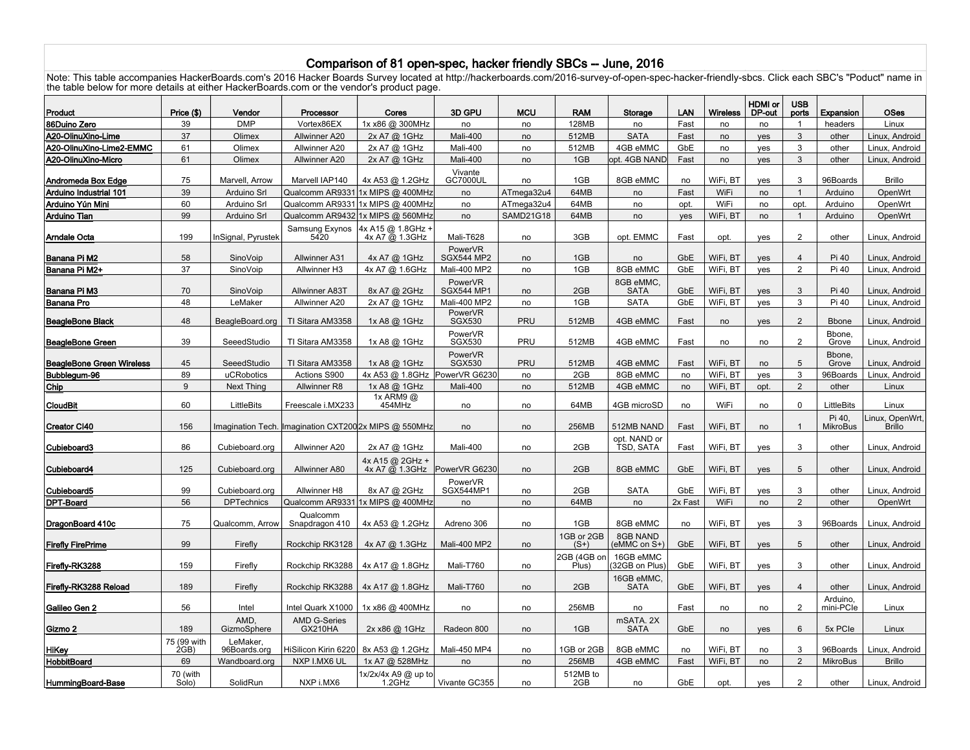## Comparison of 81 open-spec, hacker friendly SBCs -- June, 2016

Note: This table accompanies HackerBoards.com's 2016 Hacker Boards Survey located at http://hackerboards.com/2016-survey-of-open-spec-hacker-friendly-sbcs. Click each SBC's "Poduct" name in the table below for more details at either HackerBoards.com or the vendor's product page.

|                                  |                  |                     |                                       |                                                       |                              |                  |                      |                                 |         |                 | <b>HDMI</b> or | <b>USB</b>     |                 |                                  |
|----------------------------------|------------------|---------------------|---------------------------------------|-------------------------------------------------------|------------------------------|------------------|----------------------|---------------------------------|---------|-----------------|----------------|----------------|-----------------|----------------------------------|
| Product                          | Price (\$)       | Vendor              | Processor                             | Cores                                                 | 3D GPU                       | <b>MCU</b>       | <b>RAM</b>           | Storage                         | LAN     | <b>Wireless</b> | DP-out         | ports          | Expansion       | <b>OSes</b>                      |
| 86Duino Zero                     | 39               | <b>DMP</b>          | Vortex86EX                            | 1x x86 @ 300MHz                                       | no                           | no               | 128MB                | no                              | Fast    | no              | no             | $\overline{1}$ | headers         | Linux                            |
| A20-OlinuXino-Lime               | 37               | Olimex              | Allwinner A20                         | 2x A7 @ 1GHz                                          | Mali-400                     | no               | 512MB                | <b>SATA</b>                     | Fast    | no              | yes            | 3              | other           | Linux. Android                   |
| A20-OlinuXino-Lime2-EMMC         | 61               | Olimex              | Allwinner A20                         | 2x A7 @ 1GHz                                          | Mali-400                     | no               | 512MB                | 4GB eMMC                        | GbE     | no              | yes            | 3              | other           | Linux, Android                   |
| A20-OlinuXino-Micro              | 61               | Olimex              | Allwinner A20                         | 2x A7 @ 1GHz                                          | Mali-400                     | no               | 1GB                  | opt. 4GB NAND                   | Fast    | no              | yes            | 3              | other           | Linux, Android                   |
| Andromeda Box Edge               | 75               | Marvell, Arrow      | Marvell IAP140                        | 4x A53 @ 1.2GHz                                       | Vivante<br><b>GC7000UL</b>   | no               | 1GB                  | 8GB eMMC                        | no      | WiFi, BT        | yes            | 3              | 96Boards        | <b>Brillo</b>                    |
| Arduino Industrial 101           | 39               | Arduino Srl         | Qualcomm AR933                        | 1x MIPS @ 400MHz                                      | no                           | ATmega32u4       | 64MB                 | no                              | Fast    | WiFi            | no             | $\mathbf{1}$   | Arduino         | OpenWrt                          |
| Arduino Yún Mini                 | 60               | Arduino Srl         | Qualcomm AR933                        | 1x MIPS @ 400MHz                                      | no                           | ATmega32u4       | 64MB                 | no                              | opt.    | WiFi            | no             | opt.           | Arduino         | OpenWrt                          |
| <b>Arduino Tian</b>              | 99               | Arduino Srl         | Qualcomm AR9432                       | 1x MIPS @ 560MHz                                      | no                           | <b>SAMD21G18</b> | 64MB                 | no                              | yes     | WiFi, BT        | no             | $\mathbf{1}$   | Arduino         | OpenWrt                          |
|                                  |                  |                     | Samsung Exynos                        | 4x A15 @ 1.8GHz +                                     |                              |                  |                      |                                 |         |                 |                |                |                 |                                  |
| Arndale Octa                     | 199              | nSignal, Pyrustek   | 5420                                  | 4x A7 @ 1.3GHz                                        | Mali-T628                    | no               | 3GB                  | opt. EMMC                       | Fast    | opt.            | yes            | $\overline{2}$ | other           | Linux, Android                   |
|                                  | 58               | SinoVoip            |                                       |                                                       | PowerVR<br><b>SGX544 MP2</b> |                  | 1GB                  |                                 | GbE     | WiFi, BT        |                | $\overline{4}$ | Pi 40           |                                  |
| Banana Pi M2<br>Banana Pi M2+    | 37               | SinoVoip            | <b>Allwinner A31</b><br>Allwinner H3  | 4x A7 @ 1GHz<br>4x A7 @ 1.6GHz                        | Mali-400 MP2                 | no               | 1GB                  | no<br>8GB eMMC                  | GbE     | WiFi, BT        | yes            | $\overline{2}$ | Pi 40           | Linux, Android<br>Linux, Android |
|                                  |                  |                     |                                       |                                                       |                              | no               |                      |                                 |         |                 | yes            |                |                 |                                  |
| Banana Pi M3                     | 70               | SinoVoip            | Allwinner A83T                        | 8x A7 @ 2GHz                                          | PowerVR<br><b>SGX544 MP1</b> | no               | 2GB                  | 8GB eMMC.<br><b>SATA</b>        | GbE     | WiFi, BT        | yes            | 3              | Pi 40           | Linux, Android                   |
| <b>Banana Pro</b>                | 48               | LeMaker             | Allwinner A20                         | 2x A7 @ 1GHz                                          | Mali-400 MP2                 | no               | 1GB                  | <b>SATA</b>                     | GbE     | WiFi, BT        | yes            | 3              | Pi 40           | Linux. Android                   |
|                                  |                  |                     |                                       |                                                       | PowerVR                      |                  |                      |                                 |         |                 |                |                |                 |                                  |
| <b>BeagleBone Black</b>          | 48               | BeagleBoard.org     | TI Sitara AM3358                      | 1x A8 @ 1GHz                                          | <b>SGX530</b>                | PRU              | 512MB                | 4GB eMMC                        | Fast    | no              | yes            | $\overline{2}$ | <b>Bbone</b>    | Linux, Android                   |
| BeagleBone Green                 | 39               | SeeedStudio         | TI Sitara AM3358                      | 1x A8 @ 1GHz                                          | PowerVR<br><b>SGX530</b>     | PRU              | 512MB                | 4GB eMMC                        | Fast    | no              | no             | $\overline{2}$ | Bbone.<br>Grove | Linux, Android                   |
|                                  |                  |                     |                                       |                                                       | PowerVR                      |                  |                      |                                 |         |                 |                |                | Bbone,          |                                  |
| <b>BeagleBone Green Wireless</b> | 45               | SeeedStudio         | TI Sitara AM3358                      | 1x A8 @ 1GHz                                          | <b>SGX530</b>                | <b>PRU</b>       | 512MB                | 4GB eMMC                        | Fast    | WiFi, BT        | no             | 5              | Grove           | Linux, Android                   |
| Bubblegum-96                     | 89               | uCRobotics          | Actions S900                          | 4x A53 @ 1.8GHz                                       | PowerVR G6230                | no               | 2GB                  | 8GB eMMC                        | no      | WiFi, BT        | ves            | 3              | 96Boards        | Linux. Android                   |
| Chip                             | $\boldsymbol{9}$ | <b>Next Thing</b>   | Allwinner R8                          | 1x A8 @ 1GHz                                          | Mali-400                     | no               | 512MB                | 4GB eMMC                        | no      | WiFi, BT        | opt.           | $\overline{2}$ | other           | Linux                            |
| CloudBit                         | 60               | <b>LittleBits</b>   | Freescale i.MX233                     | 1x ARM9 @<br>454MHz                                   | no                           | no               | 64MB                 | 4GB microSD                     | no      | WiFi            | no             | 0              | LittleBits      | Linux                            |
|                                  |                  |                     |                                       |                                                       |                              |                  |                      |                                 |         |                 |                |                | Pi 40,          | inux, OpenWrt.                   |
| <b>Creator CI40</b>              | 156              |                     |                                       | Imagination Tech. Imagination CXT200 2x MIPS @ 550MHz | no                           | no               | 256MB                | 512MB NAND                      | Fast    | WiFi, BT        | no             | $\mathbf{1}$   | <b>MikroBus</b> | <b>Brillo</b>                    |
|                                  |                  |                     |                                       |                                                       |                              |                  |                      | opt. NAND or                    |         |                 |                |                |                 |                                  |
| Cubieboard3                      | 86               | Cubieboard.org      | Allwinner A20                         | 2x A7 @ 1GHz                                          | Mali-400                     | no               | 2GB                  | TSD, SATA                       | Fast    | WiFi, BT        | ves            | 3              | other           | Linux. Android                   |
|                                  | 125              |                     | Allwinner A80                         | 4x A15 @ 2GHz +<br>$4x$ A7 $\overline{60}$ 1.3GHz     | PowerVR G6230                |                  | 2GB                  | 8GB eMMC                        | GbE     | WiFi, BT        |                | 5              | other           |                                  |
| Cubieboard4                      |                  | Cubieboard.org      |                                       |                                                       |                              | no               |                      |                                 |         |                 | yes            |                |                 | Linux, Android                   |
| Cubieboard5                      | 99               | Cubieboard.org      | Allwinner H8                          | 8x A7 @ 2GHz                                          | PowerVR<br>SGX544MP1         | no               | 2GB                  | <b>SATA</b>                     | GbE     | WiFi, BT        | yes            | 3              | other           | Linux, Android                   |
| <b>DPT-Board</b>                 | 56               | <b>DPTechnics</b>   | Qualcomm AR933                        | 1x MIPS @ 400MHz                                      | no                           | no               | 64MB                 | no                              | 2x Fast | WiFi            | no             | $\overline{2}$ | other           | OpenWrt                          |
|                                  |                  |                     | Qualcomm                              |                                                       |                              |                  |                      |                                 |         |                 |                |                |                 |                                  |
| DragonBoard 410c                 | 75               | Qualcomm, Arrow     | Snapdragon 410                        | 4x A53 @ 1.2GHz                                       | Adreno 306                   | no               | 1GB                  | 8GB eMMC                        | no      | WiFi, BT        | yes            | 3              | 96Boards        | Linux, Android                   |
|                                  | 99               | Firefly             |                                       |                                                       | Mali-400 MP2                 |                  | 1GB or 2GB<br>$(S+)$ | <b>8GB NAND</b><br>(eMMC on S+) | GbE     | WiFi, BT        |                | 5              |                 |                                  |
| <b>Firefly FirePrime</b>         |                  |                     | Rockchip RK3128                       | 4x A7 @ 1.3GHz                                        |                              | no               | 2GB (4GB on          | 16GB eMMC                       |         |                 | yes            |                | other           | Linux, Android                   |
| Firefly-RK3288                   | 159              | Firefly             | Rockchip RK3288                       | 4x A17 @ 1.8GHz                                       | Mali-T760                    | no               | Plus)                | 32GB on Plus                    | GbE     | WiFi, BT        | yes            | 3              | other           | Linux, Android                   |
|                                  |                  |                     |                                       |                                                       |                              |                  |                      | 16GB eMMC.                      |         |                 |                |                |                 |                                  |
| Firefly-RK3288 Reload            | 189              | Firefly             | Rockchip RK3288                       | 4x A17 @ 1.8GHz                                       | Mali-T760                    | no               | 2GB                  | <b>SATA</b>                     | GbE     | WiFi, BT        | yes            | $\overline{4}$ | other           | Linux, Android                   |
|                                  |                  |                     |                                       |                                                       |                              |                  |                      |                                 |         |                 |                |                | Arduino.        |                                  |
| Galileo Gen 2                    | 56               | Intel               | Intel Quark X1000                     | 1x x86 @ 400MHz                                       | no                           | no               | 256MB                | no                              | Fast    | no              | no             | $\overline{2}$ | mini-PCIe       | Linux                            |
| Gizmo 2                          | 189              | AMD.<br>GizmoSphere | <b>AMD G-Series</b><br><b>GX210HA</b> | 2x x86 @ 1GHz                                         | Radeon 800                   | no               | 1GB                  | mSATA, 2X<br><b>SATA</b>        | GbE     | no              | yes            | 6              | 5x PCIe         | Linux                            |
|                                  | 75 (99 with      | LeMaker,            |                                       |                                                       |                              |                  |                      |                                 |         |                 |                |                |                 |                                  |
| HiKey                            | 2GB              | 96Boards.org        | HiSilicon Kirin 6220                  | 8x A53 @ 1.2GHz                                       | Mali-450 MP4                 | no               | 1GB or 2GB           | 8GB eMMC                        | no      | WiFi, BT        | no             | 3              | 96Boards        | Linux, Android                   |
| <b>HobbitBoard</b>               | 69               | Wandboard.org       | NXP I.MX6 UL                          | 1x A7 @ 528MHz                                        | no                           | no               | 256MB                | 4GB eMMC                        | Fast    | WiFi, BT        | no             | $\overline{2}$ | <b>MikroBus</b> | <b>Brillo</b>                    |
|                                  | 70 (with         |                     |                                       | 1x/2x/4x A9 @ up to                                   |                              |                  | 512MB to             |                                 |         |                 |                |                |                 |                                  |
| HummingBoard-Base                | Solo)            | SolidRun            | NXP i.MX6                             | 1.2GHz                                                | Vivante GC355                | no               | 2GB                  | no                              | GbE     | opt.            | ves            | 2              | other           | Linux, Android                   |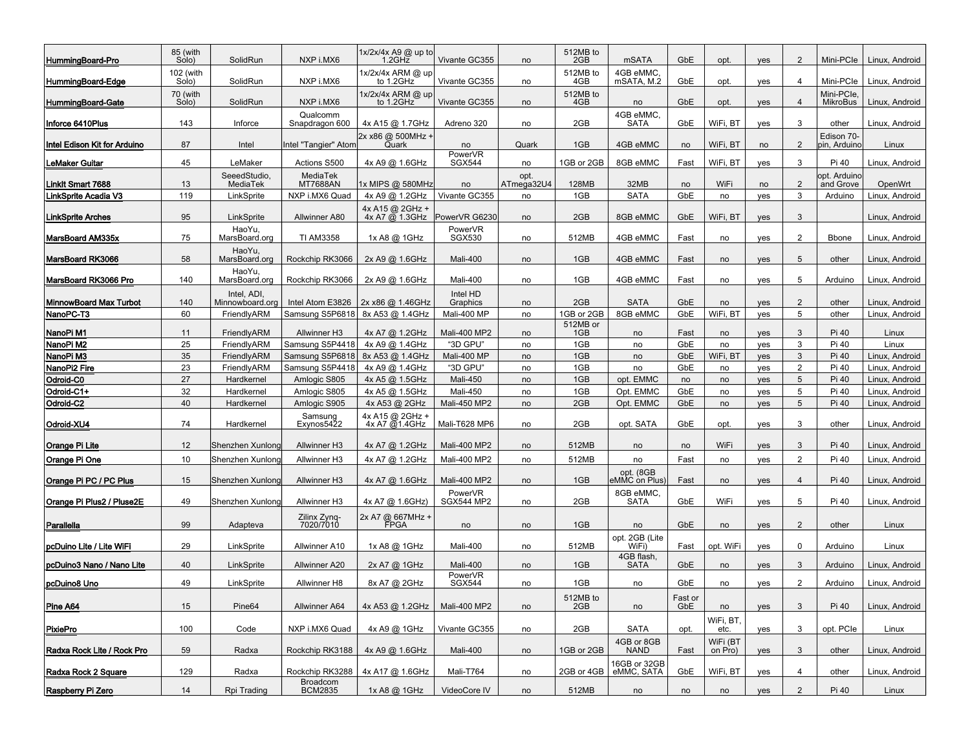| HummingBoard-Pro              | 85 (with<br>Solo)  | SolidRun                       | NXP i.MX6                   | 1x/2x/4x A9 @ up to<br>$1.2$ GH $\bar{z}$        | Vivante GC355                | no                 | 512MB to<br>2GB | mSATA                      | GbE                   | opt.                | yes        | 2              | Mini-PCIe                  | Linux, Android |
|-------------------------------|--------------------|--------------------------------|-----------------------------|--------------------------------------------------|------------------------------|--------------------|-----------------|----------------------------|-----------------------|---------------------|------------|----------------|----------------------------|----------------|
| HummingBoard-Edge             | 102 (with<br>Solo) | SolidRun                       | NXP i.MX6                   | 1x/2x/4x ARM @ up<br>to 1.2GHz                   | Vivante GC355                | no                 | 512MB to<br>4GB | 4GB eMMC<br>mSATA, M.2     | GbE                   | opt.                | yes        | $\overline{4}$ | Mini-PCIe                  | Linux. Android |
| HummingBoard-Gate             | 70 (with<br>Solo)  | SolidRun                       | NXP i.MX6                   | 1x/2x/4x ARM @ up<br>to 1.2GHz                   | Vivante GC355                | no                 | 512MB to<br>4GB | no                         | GbE                   | opt.                | <b>ves</b> | 4              | Mini-PCIe<br>MikroBus      | Linux, Android |
| Inforce 6410Plus              | 143                | Inforce                        | Qualcomm<br>Snapdragon 600  | 4x A15 @ 1.7GHz                                  | Adreno 320                   | no                 | 2GB             | 4GB eMMC<br>SATA           | GbE                   | WiFi, BT            | yes        | 3              | other                      | Linux, Android |
| Intel Edison Kit for Arduino  | 87                 | Intel                          | Intel "Tangier" Atom        | 2x x86 @ 500MHz +<br>Quark                       | no                           | Quark              | 1GB             | 4GB eMMC                   | no                    | WiFi, BT            | no         | 2              | Edison 70-<br>pin, Arduino | Linux          |
| <b>LeMaker Guitar</b>         | 45                 | LeMaker                        | Actions S500                | 4x A9 @ 1.6GHz                                   | PowerVR<br><b>SGX544</b>     | no                 | 1GB or 2GB      | 8GB eMMC                   | Fast                  | WiFi, BT            | yes        | 3              | Pi 40                      | Linux, Android |
| Linklt Smart 7688             | 13                 | SeeedStudio,<br>MediaTek       | MediaTek<br><b>MT7688AN</b> | 1x MIPS @ 580MHz                                 | no                           | opt.<br>ATmega32U4 | 128MB           | 32MB                       | no                    | WiFi                | no         | 2              | opt. Arduino<br>and Grove  | OpenWrt        |
| LinkSprite Acadia V3          | 119                | LinkSprite                     | NXP i.MX6 Quad              | 4x A9 @ 1.2GHz                                   | Vivante GC355                | no                 | 1GB             | <b>SATA</b>                | GbE                   | no                  | yes        | 3              | Arduino                    | Linux. Android |
| <b>LinkSprite Arches</b>      | 95                 | LinkSprite                     | Allwinner A80               | 4x A15 @ 2GHz +<br>$4x$ A7 $\overline{Q}$ 1.3GHz | PowerVR G6230                | no                 | 2GB             | 8GB eMMC                   | GbE                   | WiFi, BT            | yes        | 3              |                            | Linux, Android |
| MarsBoard AM335x              | 75                 | HaoYu,<br>MarsBoard.org        | <b>TI AM3358</b>            | 1x A8 @ 1GHz                                     | PowerVR<br><b>SGX530</b>     | no                 | 512MB           | 4GB eMMC                   | Fast                  | no                  | yes        | $\overline{2}$ | <b>B</b> bone              | Linux, Android |
| MarsBoard RK3066              | 58                 | HaoYu,<br>MarsBoard.org        | Rockchip RK3066             | 2x A9 @ 1.6GHz                                   | Mali-400                     | no                 | 1GB             | 4GB eMMC                   | Fast                  | no                  | yes        | 5              | other                      | Linux, Android |
| MarsBoard RK3066 Pro          | 140                | HaoYu,<br>MarsBoard.org        | Rockchip RK3066             | 2x A9 @ 1.6GHz                                   | Mali-400                     | no                 | 1GB             | 4GB eMMC                   | Fast                  | no                  | yes        | 5              | Arduino                    | Linux, Android |
| <b>MinnowBoard Max Turbot</b> | 140                | Intel, ADI.<br>Minnowboard.org | Intel Atom E3826            | 2x x86 @ 1.46GHz                                 | Intel HD<br>Graphics         | no                 | 2GB             | <b>SATA</b>                | GbE                   | no                  | yes        | 2              | other                      | Linux, Android |
| NanoPC-T3                     | 60                 | FriendlyARM                    | Samsung S5P6818             | 8x A53 @ 1.4GHz                                  | Mali-400 MP                  | no                 | 1GB or 2GB      | 8GB eMMC                   | GbE                   | WiFi, BT            | yes        | 5              | other                      | Linux, Android |
| NanoPi M1                     | 11                 | FriendlyARM                    | Allwinner H3                | 4x A7 @ 1.2GHz                                   | Mali-400 MP2                 | no                 | 512MB or<br>1GB | no                         | Fast                  | no                  | yes        | 3              | Pi 40                      | Linux          |
| NanoPi M2                     | 25                 | FriendlvARM                    | Samsung S5P4418             | 4x A9 @ 1.4GHz                                   | "3D GPU"                     | no                 | 1GB             | no                         | GbE                   | no                  | yes        | 3              | Pi 40                      | Linux          |
| NanoPi M3                     | 35                 | FriendlyARM                    | Samsung S5P6818             | 8x A53 @ 1.4GHz                                  | Mali-400 MP                  | no                 | 1GB             | no                         | GbE                   | WiFi, BT            | yes        | 3              | Pi 40                      | Linux, Android |
| NanoPi2 Fire                  | 23                 | FriendlyARM                    | Samsung S5P4418             | 4x A9 @ 1.4GHz                                   | "3D GPU"                     | no                 | 1GB             | no                         | GbE                   | no                  | yes        | 2              | Pi 40                      | Linux, Android |
| Odroid-C0                     | 27                 | Hardkernel                     | Amlogic S805                | 4x A5 @ 1.5GHz                                   | Mali-450                     | no                 | 1GB             | opt. EMMC                  | no                    | no                  | yes        | 5              | Pi 40                      | Linux, Android |
| Odroid-C1+                    | 32                 | Hardkernel                     | Amlogic S805                | 4x A5 @ 1.5GHz                                   | Mali-450                     | no                 | 1GB             | Opt. EMMC                  | GbE                   | no                  | yes        | 5              | Pi 40                      | Linux, Android |
| Odroid-C2                     | 40                 | Hardkernel                     | Amlogic S905                | 4x A53 @ 2GHz                                    | Mali-450 MP2                 | no                 | 2GB             | Opt. EMMC                  | GbE                   | no                  | yes        | 5              | Pi 40                      | Linux, Android |
| Odroid-XU4                    | 74                 | Hardkernel                     | Samsung<br>Exynos5422       | 4x A15 @ 2GHz +<br>4x A7 @1.4GHz                 | Mali-T628 MP6                | no                 | 2GB             | opt. SATA                  | GbE                   | opt.                | yes        | 3              | other                      | Linux, Android |
| <b>Orange Pi Lite</b>         | 12                 | Shenzhen Xunlong               | Allwinner H3                | 4x A7 @ 1.2GHz                                   | Mali-400 MP2                 | no                 | 512MB           | no                         | no                    | WiFi                | yes        | 3              | Pi 40                      | Linux, Android |
| Orange Pi One                 | 10                 | Shenzhen Xunlong               | Allwinner H3                | 4x A7 @ 1.2GHz                                   | Mali-400 MP2                 | no                 | 512MB           | no                         | Fast                  | no                  | yes        | $\overline{2}$ | Pi 40                      | Linux, Android |
| Orange Pi PC / PC Plus        | 15                 | Shenzhen Xunlonc               | Allwinner H3                | 4x A7 @ 1.6GHz                                   | Mali-400 MP2                 | no                 | 1GB             | opt. (8GB<br>eMMC on Plus) | Fast                  | no                  | yes        | $\overline{4}$ | Pi 40                      | Linux, Android |
| Orange Pi Plus2 / Pluse2E     | 49                 | Shenzhen Xunlong               | Allwinner H3                | 4x A7 @ 1.6GHz)                                  | PowerVR<br><b>SGX544 MP2</b> | no                 | 2GB             | 8GB eMMC<br><b>SATA</b>    | GbE                   | WiFi                | yes        | 5              | Pi 40                      | Linux, Android |
| Parallella                    | 99                 | Adapteva                       | Zilinx Zynq-<br>7020/7010   | 2x A7 @ 667MHz +                                 | no                           | no                 | 1GB             | no                         | GbE                   | no                  | yes        | $\overline{2}$ | other                      | Linux          |
| pcDuino Lite / Lite WiFi      | 29                 | LinkSprite                     | Allwinner A10               | 1x A8 @ 1GHz                                     | Mali-400                     | no                 | 512MB           | opt. 2GB (Lite<br>WiFi)    | Fast                  | opt. WiFi           | yes        | 0              | Arduino                    | Linux          |
| pcDuino3 Nano / Nano Lite     | 40                 | LinkSprite                     | Allwinner A20               | 2x A7 @ 1GHz                                     | Mali-400                     | no                 | 1GB             | 4GB flash,<br><b>SATA</b>  | GbE                   | no                  | yes        | 3              | Arduino                    | Linux, Android |
| pcDuino8 Uno                  | 49                 | LinkSprite                     | Allwinner H8                | 8x A7 @ 2GHz                                     | PowerVR<br><b>SGX544</b>     | no                 | 1GB             | no                         | GbE                   | no                  | yes        | $\overline{2}$ | Arduino                    | Linux, Android |
| Pine A64                      | 15                 | Pine64                         | Allwinner A64               | 4x A53 @ 1.2GHz                                  | Mali-400 MP2                 | no                 | 512MB to<br>2GB | no                         | Fast or<br><b>GbE</b> | no                  | yes        | 3              | Pi 40                      | Linux, Android |
| <b>PixiePro</b>               | 100                | Code                           | NXP i.MX6 Quad              | 4x A9 @ 1GHz                                     | Vivante GC355                | no                 | 2GB             | <b>SATA</b>                | opt.                  | WiFi, BT,<br>etc.   | yes        | 3              | opt. PCle                  | Linux          |
| Radxa Rock Lite / Rock Pro    | 59                 | Radxa                          | Rockchip RK3188             | 4x A9 @ 1.6GHz                                   | Mali-400                     | no                 | 1GB or 2GB      | 4GB or 8GB<br><b>NAND</b>  | Fast                  | WiFi (BT<br>on Pro) | yes        | 3              | other                      | Linux, Android |
| Radxa Rock 2 Square           | 129                | Radxa                          | Rockchip RK3288             | 4x A17 @ 1.6GHz                                  | Mali-T764                    | no                 | 2GB or 4GB      | 16GB or 32GB<br>eMMC, SATA | GbE                   | WiFi, BT            | yes        | $\overline{4}$ | other                      | Linux, Android |
| Raspberry Pi Zero             | 14                 | Rpi Trading                    | Broadcom<br><b>BCM2835</b>  | 1x A8 @ 1GHz                                     | VideoCore IV                 | no                 | 512MB           | no                         | no                    | no                  | yes        | $\overline{2}$ | Pi 40                      | Linux          |